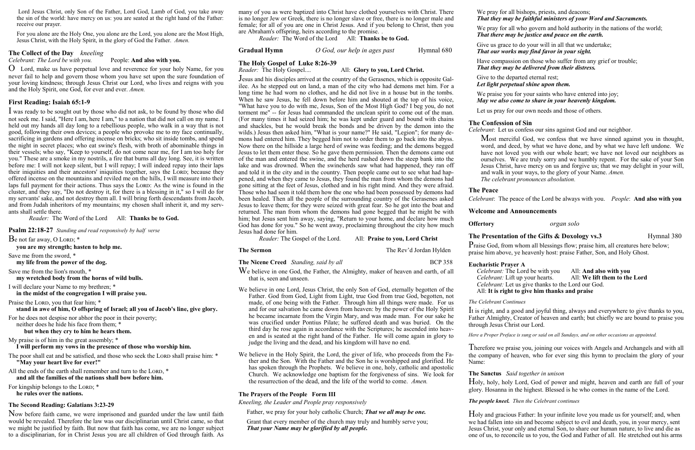Lord Jesus Christ, only Son of the Father, Lord God, Lamb of God, you take away the sin of the world: have mercy on us: you are seated at the right hand of the Father: receive our prayer.

For you alone are the Holy One, you alone are the Lord, you alone are the Most High, Jesus Christ, with the Holy Spirit, in the glory of God the Father. *Amen.*

# **The Collect of the Day** *kneeling*<br> *Celebrant: The Lord be with you.* People: And also with you.

#### *Celebrant: The Lord be with you.*

O Lord, make us have perpetual love and reverence for your holy Name, for you never fail to help and govern those whom you have set upon the sure foundation of your loving kindness; through Jesus Christ our Lord, who lives and reigns with you and the Holy Spirit, one God, for ever and ever. *Amen.* 

#### **First Reading: Isaiah 65:1-9**

I was ready to be sought out by those who did not ask, to be found by those who did not seek me. I said, "Here I am, here I am," to a nation that did not call on my name. I held out my hands all day long to a rebellious people, who walk in a way that is not good, following their own devices; a people who provoke me to my face continually, sacrificing in gardens and offering incense on bricks; who sit inside tombs, and spend the night in secret places; who eat swine's flesh, with broth of abominable things in their vessels; who say, "Keep to yourself, do not come near me, for I am too holy for you." These are a smoke in my nostrils, a fire that burns all day long. See, it is written before me: I will not keep silent, but I will repay; I will indeed repay into their laps their iniquities and their ancestors' iniquities together, says the LORD; because they offered incense on the mountains and reviled me on the hills, I will measure into their laps full payment for their actions. Thus says the LORD: As the wine is found in the cluster, and they say, "Do not destroy it, for there is a blessing in it," so I will do for my servants' sake, and not destroy them all. I will bring forth descendants from Jacob, and from Judah inheritors of my mountains; my chosen shall inherit it, and my servants shall settle there.

The poor shall eat and be satisfied, and those who seek the LORD shall praise him: \* **"May your heart live for ever!"**

All the ends of the earth shall remember and turn to the LORD, \* **and all the families of the nations shall bow before him.**

For kingship belongs to the LORD; \* **he rules over the nations.**

*Reader:* The Word of the Lord All: **Thanks be to God.**

#### **Psalm 22:18-27** *Standing and read responsively by half verse*

 $\mathbf B$ e not far away, O LORD; \*

**you are my strength; hasten to help me.**

Save me from the sword, \*

**my life from the power of the dog.**

Save me from the lion's mouth, \*

**my wretched body from the horns of wild bulls.**

I will declare your Name to my brethren; \*

**in the midst of the congregation I will praise you.**

Praise the LORD, you that fear him; \*

**stand in awe of him, O offspring of Israel; all you of Jacob's line, give glory.**

For he does not despise nor abhor the poor in their poverty;

neither does he hide his face from them; \*

**but when they cry to him he hears them.**

My praise is of him in the great assembly; \*

**I will perform my vows in the presence of those who worship him.**

#### **The Second Reading: Galatians 3:23-29**

Now before faith came, we were imprisoned and guarded under the law until faith would be revealed. Therefore the law was our disciplinarian until Christ came, so that we might be justified by faith. But now that faith has come, we are no longer subject to a disciplinarian, for in Christ Jesus you are all children of God through faith. As many of you as were baptized into Christ have clothed yourselves with Christ. There is no longer Jew or Greek, there is no longer slave or free, there is no longer male and female; for all of you are one in Christ Jesus. And if you belong to Christ, then you are Abraham's offspring, heirs according to the promise. *.*

*Reader:* The Word of the Lord All: **Thanks be to God.**

#### **Gradual Hymn** *O God, our help in ages past* Hymnal 680

# **The Holy Gospel of Luke 8:26-39**

All: Glory to you, Lord Christ.

Most merciful God, we confess that we have sinned against you in thought, word, and deed, by what we have done, and by what we have left undone. We have not loved you with our whole heart; we have not loved our neighbors as ourselves. We are truly sorry and we humbly repent. For the sake of your Son Jesus Christ, have mercy on us and forgive us; that we may delight in your will, and walk in your ways, to the glory of your Name. *Amen.* 

Praise God, from whom all blessings flow; praise him, all creatures here below; praise him above, ye heavenly host: praise Father, Son, and Holy Ghost.

Jesus and his disciples arrived at the country of the Gerasenes, which is opposite Galilee. As he stepped out on land, a man of the city who had demons met him. For a long time he had worn no clothes, and he did not live in a house but in the tombs. When he saw Jesus, he fell down before him and shouted at the top of his voice, "What have you to do with me, Jesus, Son of the Most High God? I beg you, do not torment me" -- for Jesus had commanded the unclean spirit to come out of the man. (For many times it had seized him; he was kept under guard and bound with chains and shackles, but he would break the bonds and be driven by the demon into the wilds.) Jesus then asked him, "What is your name?" He said, "Legion"; for many demons had entered him. They begged him not to order them to go back into the abyss. Now there on the hillside a large herd of swine was feeding; and the demons begged Jesus to let them enter these. So he gave them permission. Then the demons came out of the man and entered the swine, and the herd rushed down the steep bank into the lake and was drowned. When the swineherds saw what had happened, they ran off and told it in the city and in the country. Then people came out to see what had happened, and when they came to Jesus, they found the man from whom the demons had gone sitting at the feet of Jesus, clothed and in his right mind. And they were afraid. Those who had seen it told them how the one who had been possessed by demons had been healed. Then all the people of the surrounding country of the Gerasenes asked Jesus to leave them; for they were seized with great fear. So he got into the boat and returned. The man from whom the demons had gone begged that he might be with him; but Jesus sent him away, saying, "Return to your home, and declare how much God has done for you." So he went away, proclaiming throughout the city how much Jesus had done for him.

*Reader:* The Gospel of the Lord. All: **Praise to you, Lord Christ**

**The Nicene Creed** *Standing, said by all* **BCP 358** 

We believe in one God, the Father, the Almighty, maker of heaven and earth, of all that is, seen and unseen.

We believe in one Lord, Jesus Christ, the only Son of God, eternally begotten of the Father. God from God, Light from Light, true God from true God, begotten, not made, of one being with the Father. Through him all things were made. For us and for our salvation he came down from heaven: by the power of the Holy Spirit he became incarnate from the Virgin Mary, and was made man. For our sake he was crucified under Pontius Pilate; he suffered death and was buried. On the third day he rose again in accordance with the Scriptures; he ascended into heaven and is seated at the right hand of the Father. He will come again in glory to judge the living and the dead, and his kingdom will have no end.

We believe in the Holy Spirit, the Lord, the giver of life, who proceeds from the Father and the Son. With the Father and the Son he is worshipped and glorified. He has spoken through the Prophets. We believe in one, holy, catholic and apostolic Church. We acknowledge one baptism for the forgiveness of sins. We look for the resurrection of the dead, and the life of the world to come. *Amen.*

#### **The Prayers of the People Form III**

*Kneeling, the Leader and People pray responsively*

Father, we pray for your holy catholic Church; *That we all may be one.*

Grant that every member of the church may truly and humbly serve you; *That your Name may be glorified by all people.*

We pray for all bishops, priests, and deacons; *That they may be faithful ministers of your Word and Sacraments.*

We pray for all who govern and hold authority in the nations of the world; *That there may be justice and peace on the earth.*

Give us grace to do your will in all that we undertake; *That our works may find favor in your sight.*

Have compassion on those who suffer from any grief or trouble; *That they may be delivered from their distress.*

Give to the departed eternal rest; *Let light perpetual shine upon them.*

We praise you for your saints who have entered into joy; *May we also come to share in your heavenly kingdom.*

Let us pray for our own needs and those of others.

## **The Confession of Sin**

*Celebrant*: Let us confess our sins against God and our neighbor.

*The celebrant pronounces absolution.*

**The Peace** 

### **The Presentation of the Gifts & Doxology vs.3** Hymnal 380

*Celebrant*: The peace of the Lord be always with you. *People*: **And also with you**

### **Welcome and Announcements**

**Offertory** *organ solo*

### **Eucharistic Prayer A**

*Celebrant:* The Lord be with you All: **And also with you** *Celebrant:* Lift up your hearts. *Celebrant:* Let us give thanks to the Lord our God. All: **It is right to give him thanks and praise**

*The Celebrant Continues*  It is right, and a good and joyful thing, always and everywhere to give thanks to you, Father Almighty, Creator of heaven and earth; but chiefly we are bound to praise you through Jesus Christ our Lord.

*Here a Proper Preface is sung or said on all Sundays, and on other occasions as appointed.*

Therefore we praise you, joining our voices with Angels and Archangels and with all the company of heaven, who for ever sing this hymn to proclaim the glory of your Name:

**The Sanctus** *Said together in unison*  Holy, holy, holy Lord, God of power and might, heaven and earth are full of your glory. Hosanna in the highest. Blessed is he who comes in the name of the Lord.

#### *The people kneel. Then the Celebrant continues*

Holy and gracious Father: In your infinite love you made us for yourself; and, when we had fallen into sin and become subject to evil and death, you, in your mercy, sent Jesus Christ, your only and eternal Son, to share our human nature, to live and die as one of us, to reconcile us to you, the God and Father of all. He stretched out his arms

**The Sermon The Rev'd Jordan Hylden**